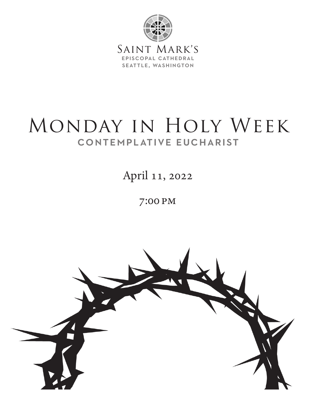

# MONDAY IN HOLY WEEK contemplative eucharist

April 11, 2022

7:00 pm

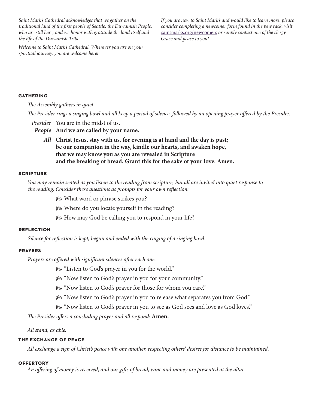*Saint Mark's Cathedral acknowledges that we gather on the traditional land of the first people of Seattle, the Duwamish People, who are still here, and we honor with gratitude the land itself and the life of the Duwamish Tribe.*

*Welcome to Saint Mark's Cathedral. Wherever you are on your spiritual journey, you are welcome here!*

*If you are new to Saint Mark's and would like to learn more, please consider completing a newcomer form found in the pew rack, visit*  saintmarks.org/newcomers *or simply contact one of the clergy. Grace and peace to you!*

# **GATHERING**

*The Assembly gathers in quiet.*

*The Presider rings a singing bowl and all keep a period of silence, followed by an opening prayer offered by the Presider.*

*Presider* You are in the midst of us.

*People* **And we are called by your name.**

*All* **Christ Jesus, stay with us, for evening is at hand and the day is past; be our companion in the way, kindle our hearts, and awaken hope, that we may know you as you are revealed in Scripture and the breaking of bread. Grant this for the sake of your love. Amen.**

### **scripture**

*You may remain seated as you listen to the reading from scripture, but all are invited into quiet response to the reading. Consider these questions as prompts for your own reflection:* 

• What word or phrase strikes you?

• Where do you locate yourself in the reading?

• How may God be calling you to respond in your life?

# **reflection**

*Silence for reflection is kept, begun and ended with the ringing of a singing bowl.*

# **prayers**

*Prayers are offered with significant silences after each one.* 

• "Listen to God's prayer in you for the world."

• "Now listen to God's prayer in you for your community."

• "Now listen to God's prayer for those for whom you care."

• "Now listen to God's prayer in you to release what separates you from God."

• "Now listen to God's prayer in you to see as God sees and love as God loves."

*The Presider offers a concluding prayer and all respond:* **Amen.**

*All stand, as able.*

# **the exchange of peace**

*All exchange a sign of Christ's peace with one another, respecting others' desires for distance to be maintained.*

#### **offertory**

*An offering of money is received, and our gifts of bread, wine and money are presented at the altar.*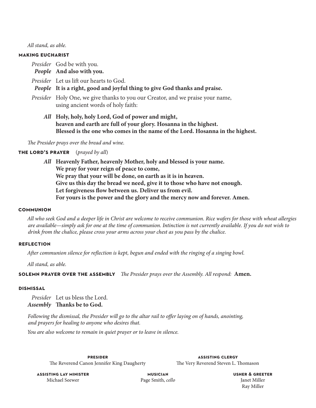*All stand, as able.*

#### **making eucharist**

*Presider* God be with you.

- *People* **And also with you.**
- *Presider* Let us lift our hearts to God.

# *People* **It is a right, good and joyful thing to give God thanks and praise.**

- *Presider* Holy One, we give thanks to you our Creator, and we praise your name, using ancient words of holy faith:
	- *All* **Holy, holy, holy Lord, God of power and might, heaven and earth are full of your glory. Hosanna in the highest. Blessed is the one who comes in the name of the Lord. Hosanna in the highest.**

*The Presider prays over the bread and wine.*

## **the lord's prayer** (*prayed by all*)

*All* **Heavenly Father, heavenly Mother, holy and blessed is your name. We pray for your reign of peace to come, We pray that your will be done, on earth as it is in heaven. Give us this day the bread we need, give it to those who have not enough. Let forgiveness flow between us. Deliver us from evil. For yours is the power and the glory and the mercy now and forever. Amen.** 

#### **communion**

*All who seek God and a deeper life in Christ are welcome to receive communion. Rice wafers for those with wheat allergies are available—simply ask for one at the time of communion. Intinction is not currently available. If you do not wish to drink from the chalice, please cross your arms across your chest as you pass by the chalice.*

#### **reflection**

*After communion silence for reflection is kept, begun and ended with the ringing of a singing bowl.*

*All stand, as able.*

**solemn prayer over the assembly** *The Presider prays over the Assembly. All respond:* **Amen.**

#### **dismissal**

*Presider* Let us bless the Lord. *Assembly* **Thanks be to God.** 

*Following the dismissal, the Presider will go to the altar rail to offer laying on of hands, anointing, and prayers for healing to anyone who desires that.*

*You are also welcome to remain in quiet prayer or to leave in silence.*

**presider** The Reverend Canon Jennifer King Daugherty

**assisting clergy** The Very Reverend Steven L. Thomason

**assisting lay minister** Michael Seewer

**musician** Page Smith, *cello* **usher & greeter** Janet Miller Ray Miller